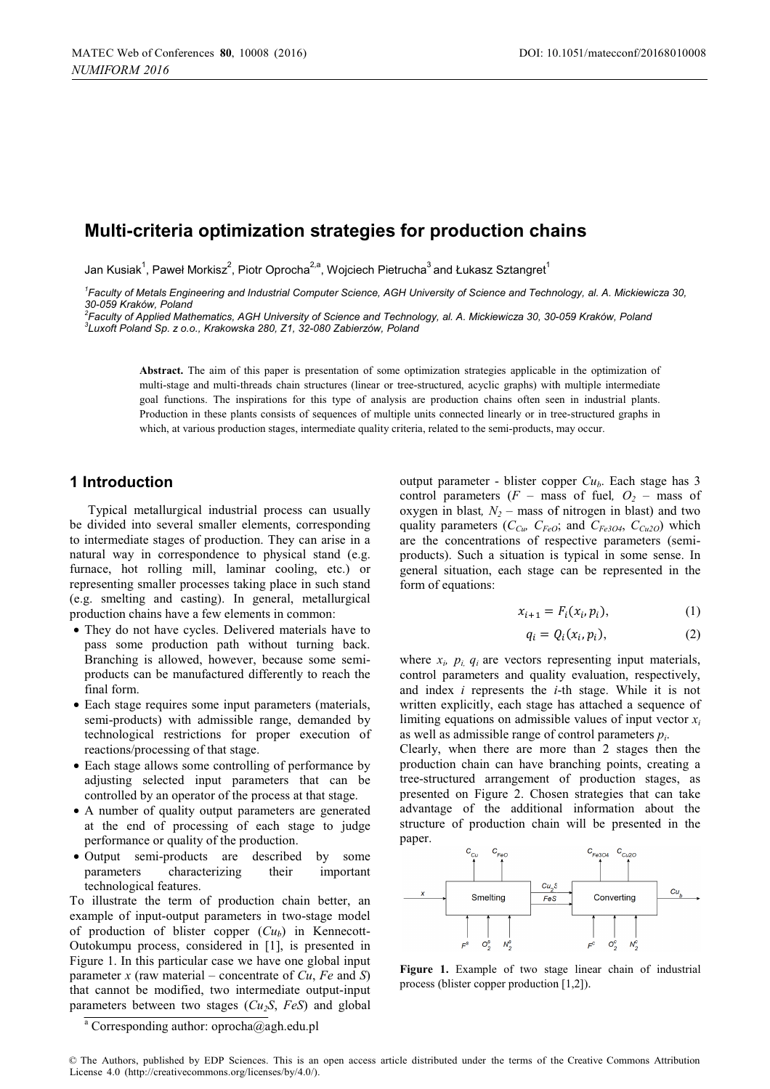# **Multi-criteria optimizat ion strategies for production cha ains**

Jan Kusiak $^1$ , Paweł Morkisz $^2$ , Piotr Oprocha $^{2,a}$ , Wojciech Pietrucha $^3$ and Łukasz Sztangret $^1$ 

<sup>1</sup> Faculty of Metals Engineering and Industrial Computer Science, AGH University of Science and Technology, al. A. Mickiewicza 30, *30-059 Kraków, Poland <sup>2</sup>*

*Faculty of Applied Mathematics, AGH Uni <sup>3</sup> iversity of Science and Technology, al. A. Mickiewicza 30, 30- -059 Kraków, Poland Luxoft Poland Sp. z o.o., Krakowska 280, Z1, 32-080 Zabierzów, Poland* 

Abstract. The aim of this paper is presentation of some optimization strategies applicable in the optimization of multi-theories and multi-theories above attention control attention at the structured acyclic growto) with m multi-stage and multi-threads chain structures (linear or tree-structured, acyclic graphs) with multiple intermediate goal functions. The inspirations for this type of analysis are production chains often seen in industrial plants. Production in these plants consists of sequences of multiple units connected linearly or in tree-structured graphs in which, at various production stages, intermediate quality criteria, related to the semi-products, may occur.

## **1 Introduction**

Typical metallurgical industrial process can usually be divided into several smaller elements, corresponding to intermediate stages of production. They can arise in a natural way in correspondence to physical stand (e.g. furnace, hot rolling mill, laminar cooling, etc.) or representing smaller processes taking pl lace in such stand (e.g. smelting and casting). In general, metallurgical production chains have a few elements in common:

- They do not have cycles. Delivered materials have to pass some production path without turning back. Branching is allowed, however, because some semiproducts can be manufactured differently to reach the final form.
- Each stage requires some input parameters (materials, semi-products) with admissible range, demanded by technological restrictions for proper execution of reactions/processing of that stage.
- Each stage allows some controlling of performance by adjusting selected input parameters that can be controlled by an operator of the process at that stage.
- A number of quality output parameters are generated at the end of processing of each h stage to judge performance or quality of the production.
- Output semi-products are described by some parameters characterizing their technological features. important

To illustrate the term of production chain better, an example of input-output parameters in two-stage model of production of blister copper  $(Cu_b)$  in Kennecott-Outokumpu process, considered in [1] ], is presented in Figure 1. In this particular case we have one global input parameter *x* (raw material – concentrate of *Cu*, *Fe* and *S*) that cannot be modified, two intermediate output-input parameters between two stages  $(Cu_2S, FeS)$  and global

output parameter - blister copper *Cu<sub>b</sub>*. Each stage has 3 control parameters  $(F - \text{mass of fuel}, O_2 - \text{mass of }$ oxygen in blast,  $N_2$  – mass of nitrogen in blast) and two quality parameters  $(C_{Cu} \ C_{FeO}$ ; and  $C_{Fe3O4} \ C_{Cu2O}$  which are the concentrations of respective parameters (semiproducts). Such a situation is typical in some sense. In general situation, each stage can be represented in the form of equations:

$$
x_{i+1} = F_i(x_i, p_i), \tag{1}
$$

$$
q_i = Q_i(x_i, p_i), \tag{2}
$$

where  $x_i$ ,  $p_i$ ,  $q_i$  are vectors representing input materials, control parameters and quality evaluation, respectively, and index *i* represents the *i* -th stage. While it is not written explicitly, each stage has attached a sequence of limiting equations on admissible values of input vector  $x_i$ as well as admissible range of control parameters *pi*.

Clearly, when there are more than 2 stages then the production chain can have branching points, creating a tree-structured arrangement of production stages, as presented on Figure 2. Chos en strategies that can take advantage of the additiona al information about the structure of production chain will be presented in the paper.



**Figure 1.** Example of two stage linear chain of industrial process (blister conner production [1.21]) process (blister copper production [1,2]).

<sup>&</sup>lt;sup>a</sup> Corresponding author: oprocha@agh.edu.pl

<sup>©</sup> The Authors, published by EDP Sciences. This is an open access article distributed under the terms of the Creative Commons Attribution License 4.0 (http://creativecommons.org/licenses/by/4.0/).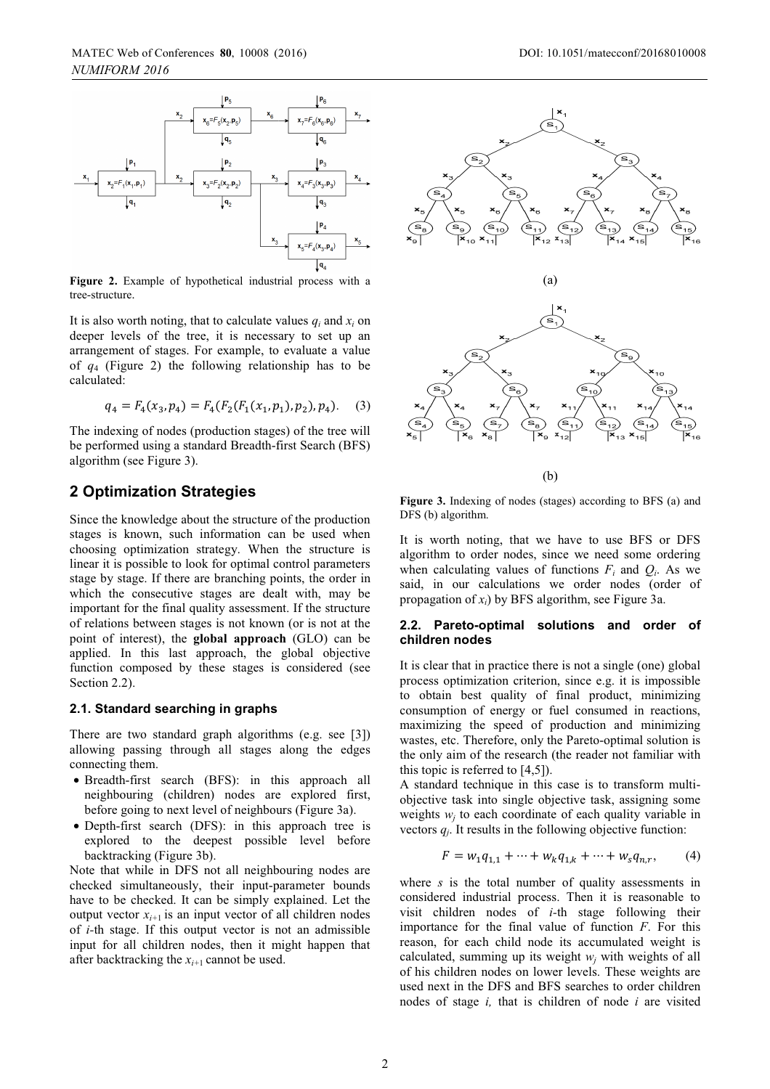

**Figure 2.** Example of hypothetical industrial process with a tree-structure tree-structure.

It is also worth noting, that to calculate values  $q_i$  and  $x_i$  on deeper levels of the tree, it is necess ary to set up an arrangement of stages. For example, to evaluate a value of  $q_4$  (Figure 2) the following relationship has to be calculated:

$$
q_4 = F_4(x_3, p_4) = F_4(F_2(F_1(x_1, p_1), p_2), p_4). \quad (3)
$$

The indexing of nodes (production stages) of the tree will be performed using a standard Breadth-f first Search (BFS) algorithm (see Figure 3).

## **2 Optimization Strategies**

Since the knowledge about the structure of the production stages is known, such information can be used when choosing optimization strategy. When n the structure is linear it is possible to look for optimal control parameters stage by stage. If there are branching points, the order in which the consecutive stages are dealt with, may be important for the final quality assessment. If the structure of relations between stages is not known n (or is not at the point of interest), the **global approach** (GLO) can be<br>applied. In this last approach the global objective applied. In this last approach, the global objective function composed by these stages is considered (see Section 2.2).

#### **2.1. Standard searching in graphs**

There are two standard graph algorith ms (e.g. see [3]) allowing passing through all stages along the edges connecting them.

- Breadth-first search (BFS): in th his approach all neighbouring (children) nodes are e explored first, before going to next level of neighbours (Figure 3a).
- Depth-first search (DFS): in this approach tree is explored to the deepest possibl le level before backtracking (Figure 3b).

Note that while in DFS not all neighbouring nodes are checked simultaneously, their input-p parameter bounds have to be checked. It can be simply explained. Let the output vector  $x_{i+1}$  is an input vector of all children nodes of *i*-th stage. If this output vector is not an admissible input for all children nodes, then it might happen that after backtracking the  $x_{i+1}$  cannot be used.



 $(h)$ 

Figure 3. Indexing of nodes (stages) according to BFS (a) and DFS (b) algorithm.

It is worth noting, that we have to use BFS or DFS algorithm to order nodes, since we need some ordering when calculating values of functions  $F_i$  and  $Q_i$ . As we said, in our calculations we order nodes (order of propagation of  $x_i$ ) by BFS algorithm, see Figure 3a.

#### 2.2. Pareto-optimal solutions and order of **children nodes**

It is clear that in practice there is not a single (one) global process optimization criterion, since e.g. it is impossible to obtain best quality of f final product, minimizing consumption of energy or fuel consumed in reactions, maximizing the speed of production and minimizing wastes, etc. Therefore, only the Pareto-optimal solution is the only aim of the research (the reader not familiar with this topic is referred to [4,5]).

A standard technique in this case is to transform multiobjective task into single objective task, assigning some weights  $w_j$  to each coordinate of each quality variable in vectors  $q_j$ . It results in the following objective function:

$$
F = w_1 q_{1,1} + \dots + w_k q_{1,k} + \dots + w_s q_{n,r}, \qquad (4)
$$

where *s* is the total number of quality assessments in considered industrial process . Then it is reasonable to visit children nodes of *i-*th stage following their importance for the final value of function  $F$ . For this reason, for each child node its accumulated weight is calculated, summing up its weight  $w_j$  with weights of all of his children nodes on lower levels. These weights are used next in the DFS and BFS S searches to order children nodes of stage *i*, that is children of node *i* are visited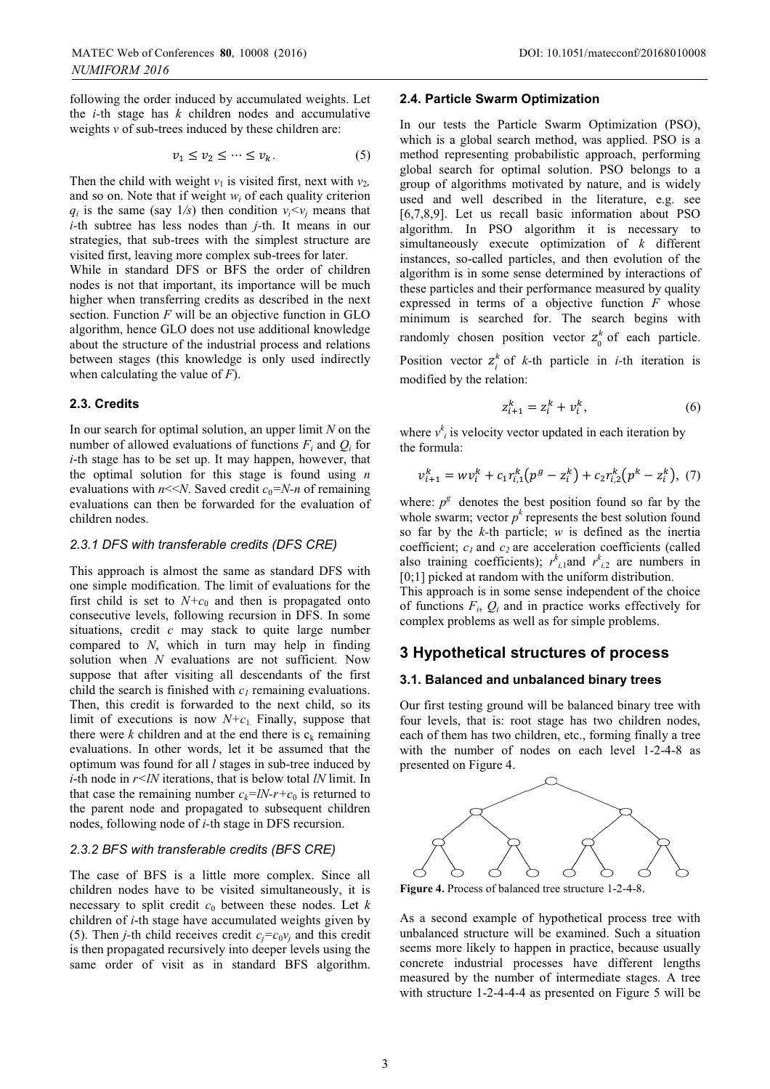following the order induced by accumulated weights. Let the  $i$ -th stage has  $k$  children nodes and accumulative weights  $\nu$  of sub-trees induced by these children are:

$$
v_1 \le v_2 \le \dots \le v_k. \tag{5}
$$

Then the child with weight  $v_1$  is visited first, next with  $v_2$ , and so on. Note that if weight  $w_i$  of each quality criterion  $q_i$  is the same (say  $1/s$ ) then condition  $v_i < v_j$  means that *i-*th subtree has less nodes than *j-*th. It means in our strategies, that sub-trees with the simplest structure are visited first, leaving more complex sub-trees for later.

While in standard DFS or BFS the order of children nodes is not that important, its importance will be much higher when transferring credits as described in the next section. Function  $F$  will be an objective function in  $GLO$ algorithm, hence GLO does not use additional knowledge about the structure of the industrial process and relations between stages (this knowledge is only used indirectly when calculating the value of *F*).

#### **2.3. Credits**

In our search for optimal solution, an up per limit *N* on the number of allowed evaluations of functions  $F_i$  and  $Q_i$  for *i*-th stage has to be set up. It may happen, however, that the optimal solution for this stage is s found using *n* evaluations with  $n \le N$ . Saved credit  $c_0 = N-n$  of remaining evaluations can then be forwarded for the evaluation of children nodes.

## *2.3.1 DFS with transferable credits (D DFS CRE)*

This approach is almost the same as standard DFS with one simple modification. The limit of evaluations for the first child is set to  $N+c_0$  and then is propagated onto consecutive levels, following recursion in DFS. In some situations, credit  $c$  may stack to quite large number compared to *N*, which in turn may help in finding solution when *N* evaluations are not sufficient. Now suppose that after visiting all descendants of the first child the search is finished with  $c<sub>l</sub>$  remaining evaluations. Then, this credit is forwarded to the next child, so its limit of executions is now  $N+c_1$ . Finally, suppose that there were  $k$  children and at the end there is  $c_k$  remaining evaluations. In other words, let it be assumed that the optimum was found for all *l* stages in sub-tree induced by *i*-th node in  $r$ <*lN* iterations, that is below total *lN* limit. In that case the remaining number  $c_k = lN - r + c_0$  is returned to the parent node and propagated to subsequent children nodes, following node of *i*-th stage in DFS recursion.

#### *2.3.2 BFS with transferable credits (B BFS CRE)*

The case of BFS is a little more complex. Since all children nodes have to be visited simultaneously, it is necessary to split credit  $c_0$  between these nodes. Let  $k$ children of *i*-th stage have accumulated weights given by (5). Then *j*-th child receives credit  $c_j = c_0 v_j$  and this credit is then propagated recursively into deeper levels using the same order of visit as in standard BFS algorithm.

#### **2.4. Particle Swarm Optim mization**

In our tests the Particle Swarm Optimization (PSO), which is a global search method, was applied. PSO is a method representing probabil listic approach, performing global search for optimal solution. PSO belongs to a group of algorithms motivate d by nature, and is widely used and well described in the literature, e.g. see [6,7,8,9]. Let us recall basic information about PSO algorithm. In PSO algorithm it is necessary to simultaneously execute optimization of  $k$  different instances, so-called particles, and then evolution of the algorithm is in some sense de etermined by interactions of these particles and their performance measured by quality expressed in terms of a objective function  $F$  whose minimum is searched for. The search begins with randomly chosen position vector  $z_0^k$  of each particle. Position vector  $z_i^k$  of *k*-th particle in *i*-th iteration is modified by the relation:

$$
z_{i+1}^k = z_i^k + v_i^k, \tag{6}
$$

where  $v^k_i$  is velocity vector updated in each iteration by the formula:

$$
v_{i+1}^k = w v_i^k + c_1 r_{i,1}^k (p^g - z_i^k) + c_2 r_{i,2}^k (p^k - z_i^k), \tag{7}
$$

where:  $p^g$  denotes the best position found so far by the whole swarm; vector  $p^k$  represents the best solution found so far by the *k-*th particle; *w* is defined as the inertia coefficient;  $c_1$  and  $c_2$  are acceleration coefficients (called also training coefficients);  $r^k_{i,1}$  and  $r^k_{i,2}$  are numbers in [0;1] picked at random with the uniform distribution.

This approach is in some sens e independent of the choice of functions  $F_i$ ,  $Q_i$  and in practice works effectively for complex problems as well as for simple problems.

## **3 Hypothetical structu ures of process**

## **3.1. Balanced and unbalan nced binary trees**

Our first testing ground will b be balanced binary tree with four levels, that is: root stage has two children nodes, each of them has two children, etc., forming finally a tree with the number of nodes on each level 1-2-4-8 as presented on Figure 4.



**Figure 4.** Process of balanced tree structure 1-2-4-8.

As a second example of hyp pothetical process tree with unbalanced structure will be e examined. Such a situation seems more likely to happen in practice, because usually concrete industrial processes have different lengths measured by the number of i intermediate stages. A tree with structure 1-2-4-4-4 as presented on Figure 5 will be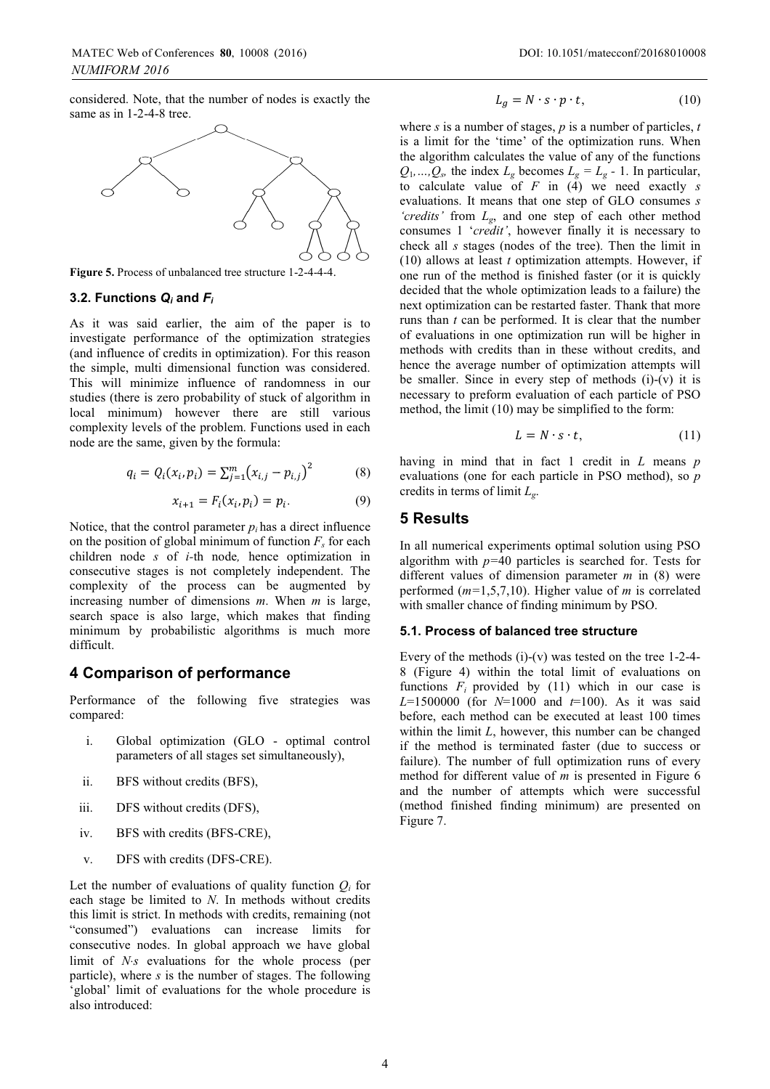considered. Note, that the number of nodes is exactly the same as in 1-2-4-8 tree.



**Figure 5.** Process of unbalanced tree structure 1-2-4-4-4.

#### **3.2. Functions** *Qi* **and** *Fi*

As it was said earlier, the aim of the paper is to investigate performance of the optimization strategies (and influence of credits in optimization). For this reason the simple, multi dimensional function n was considered. This will minimize influence of randomness in our studies (there is zero probability of stuck of algorithm in local minimum) however there are still various complexity levels of the problem. Functions used in each node are the same, given by the formula:

$$
q_i = Q_i(x_i, p_i) = \sum_{j=1}^{m} (x_{i,j} - p_{i,j})^2
$$
 (8)

$$
x_{i+1} = F_i(x_i, p_i) = p_i.
$$
 (9)

Notice, that the control parameter  $p_i$  has a direct influence on the position of global minimum of function  $F<sub>s</sub>$  for each children node *s* of *i-*th node*,* hence optimization in consecutive stages is not completely i independent. The complexity of the process can be augmented by increasing number of dimensions *m*. When *m* is large, search space is also large, which makes that finding minimum by probabilistic algorithms s is much more difficult.

## **4 Comparison of performanc ce**

Performance of the following five strategies was compared:

- i. Global optimization (GLO optimal control parameters of all stages set simultaneously),
- ii. BFS without credits (BFS),
- iii. DFS without credits (DFS),
- iv. BFS with credits (BFS-CRE),
- v. DFS with credits (DFS-CRE).

Let the number of evaluations of quality function  $Q_i$  for each stage be limited to  $N$ . In methods without credits this limit is strict. In methods with credits, remaining (not "consumed") evaluations can increase limits for consecutive nodes. In global approach we have global limit of *N*⋅*s* evaluations for the whole process (per particle), where *s* is the number of stages. The following 'global' limit of evaluations for the whole procedure is also introduced:

$$
L_g = N \cdot s \cdot p \cdot t,\tag{10}
$$

where *s* is a number of stages, *p* is a number of particles, *t* is a limit for the 'time' of the optimization runs. When the algorithm calculates the value of any of the functions  $Q_1, ..., Q_s$ , the index  $L_g$  becomes  $L_g = L_g - 1$ . In particular, to calculate value of  $F$  in (4) we need exactly  $s$ evaluations. It means that one step of GLO consumes *s 'credits'* from  $L_g$ , and one step of each other method consumes 1 '*credit'*, howeve r finally it is necessary to check all *s* stages (nodes of the tree). Then the limit in  $(10)$  allows at least *t* optimization attempts. However, if one run of the method is finished faster (or it is quickly decided that the whole optimiz zation leads to a failure) the next optimization can be restarted faster. Thank that more runs than *t* can be performed. It is clear that the number of evaluations in one optimiz zation run will be higher in methods with credits than in these without credits, and hence the average number of optimization attempts will be smaller. Since in every step of methods  $(i)-(v)$  it is necessary to preform evaluati on of each particle of PSO method, the limit (10) may be simplified to the form:

$$
L = N \cdot s \cdot t,\tag{11}
$$

having in mind that in fact 1 credit in *L* means *p* evaluations (one for each particle in PSO method), so *p* credits in terms of limit *Lg*.

## **5 Results**

In all numerical experiments optimal solution using PSO algorithm with  $p=40$  particles is searched for. Tests for different values of dimension parameter *m* in (8) were performed (*m=*1,5,7,10). High her value of *m* is correlated with smaller chance of finding minimum by PSO.

#### **5.1. Process of balanced t tree structure**

Every of the methods  $(i)$ - $(v)$  was tested on the tree 1-2-4-8 (Figure 4) within the total limit of evaluations on functions  $F_i$  provided by (11) which in our case is *L*=1500000 (for *N*=1000 and d *t*=100). As it was said before, each method can be e executed at least 100 times within the limit  $L$ , however, this number can be changed if the method is terminated faster (due to success or failure). The number of full optimization runs of every method for different value of *m* is presented in Figure 6 and the number of attempts which were successful (method finished finding mi inimum) are presented on Figure 7.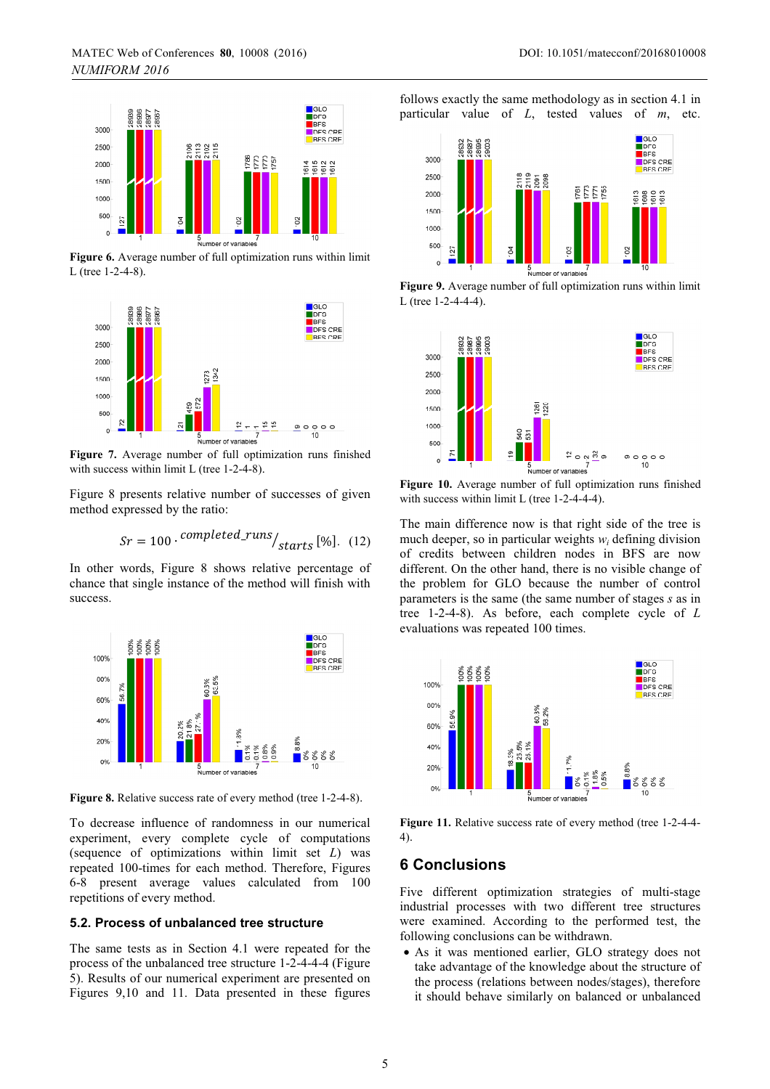

**Figure 6.** Average number of full optimization runs within limit L (tree 1-2-4-8).



**Figure 7.** Average number of full optimization runs finished with success within limit L (tree 1-2-4-8).

Figure 8 presents relative number of successes of given method expressed by the ratio:

$$
Sr = 100 \cdot \frac{completed\_runs}{starts} [\%]. \quad (12)
$$

In other words, Figure 8 shows relative percentage of chance that single instance of the method will finish with success.



Figure 8. Relative success rate of every method (tree 1-2-4-8).

To decrease influence of randomness in our numerical experiment, every complete cycle of computations (sequence of optimizations within limit set *L*) was repeated 100-times for each method. Therefore, Figures 6-8 present average values calculated from 100 repetitions of every method.

## **5.2. Process of unbalanced tree structure**

The same tests as in Section 4.1 were repeated for the process of the unbalanced tree structure 1-2-4-4-4 (Figure 5). Results of our numerical experiment are presented on Figures 9,10 and 11. Data presented in these figures

follows exactly the same methodology as in section 4.1 in particular value of *L*, tested values of *m*, etc.



**Figure 9.** Average number of full optimization runs within limit L (tree 1-2-4-4-4).



**Figure 10.** Average number of full optimization runs finished with success within limit L (tree 1-2-4-4-4).

The main difference now is that right side of the tree is much deeper, so in particular weights  $w_i$  defining division of credits between children nodes in BFS are now different. On the other hand, there is no visible change of the problem for GLO because the number of control parameters is the same (the same number of stages *s* as in tree 1-2-4-8). As before, each complete cycle of *L* evaluations was repeated 100 times.



**Figure 11.** Relative success rate of every method (tree 1-2-4-4- 4).

## **6 Conclusions**

Five different optimization strategies of multi-stage industrial processes with two different tree structures were examined. According to the performed test, the following conclusions can be withdrawn.

• As it was mentioned earlier, GLO strategy does not take advantage of the knowledge about the structure of the process (relations between nodes/stages), therefore it should behave similarly on balanced or unbalanced